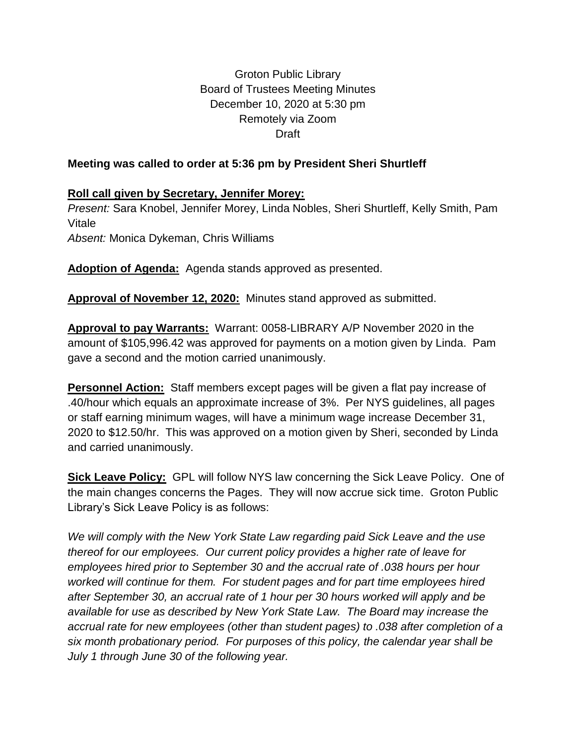Groton Public Library Board of Trustees Meeting Minutes December 10, 2020 at 5:30 pm Remotely via Zoom Draft

## **Meeting was called to order at 5:36 pm by President Sheri Shurtleff**

## **Roll call given by Secretary, Jennifer Morey:**

*Present:* Sara Knobel, Jennifer Morey, Linda Nobles, Sheri Shurtleff, Kelly Smith, Pam Vitale *Absent:* Monica Dykeman, Chris Williams

**Adoption of Agenda:** Agenda stands approved as presented.

**Approval of November 12, 2020:** Minutes stand approved as submitted.

**Approval to pay Warrants:** Warrant: 0058-LIBRARY A/P November 2020 in the amount of \$105,996.42 was approved for payments on a motion given by Linda. Pam gave a second and the motion carried unanimously.

**Personnel Action:** Staff members except pages will be given a flat pay increase of .40/hour which equals an approximate increase of 3%. Per NYS guidelines, all pages or staff earning minimum wages, will have a minimum wage increase December 31, 2020 to \$12.50/hr. This was approved on a motion given by Sheri, seconded by Linda and carried unanimously.

**Sick Leave Policy:** GPL will follow NYS law concerning the Sick Leave Policy. One of the main changes concerns the Pages. They will now accrue sick time. Groton Public Library's Sick Leave Policy is as follows:

*We will comply with the New York State Law regarding paid Sick Leave and the use thereof for our employees. Our current policy provides a higher rate of leave for employees hired prior to September 30 and the accrual rate of .038 hours per hour worked will continue for them. For student pages and for part time employees hired after September 30, an accrual rate of 1 hour per 30 hours worked will apply and be available for use as described by New York State Law. The Board may increase the accrual rate for new employees (other than student pages) to .038 after completion of a six month probationary period. For purposes of this policy, the calendar year shall be July 1 through June 30 of the following year.*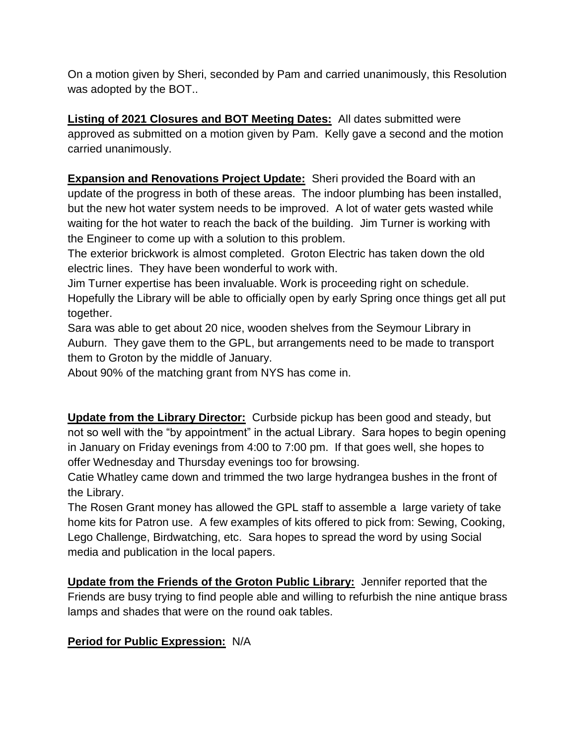On a motion given by Sheri, seconded by Pam and carried unanimously, this Resolution was adopted by the BOT..

**Listing of 2021 Closures and BOT Meeting Dates:** All dates submitted were approved as submitted on a motion given by Pam. Kelly gave a second and the motion carried unanimously.

**Expansion and Renovations Project Update:** Sheri provided the Board with an update of the progress in both of these areas. The indoor plumbing has been installed, but the new hot water system needs to be improved. A lot of water gets wasted while waiting for the hot water to reach the back of the building. Jim Turner is working with the Engineer to come up with a solution to this problem.

The exterior brickwork is almost completed. Groton Electric has taken down the old electric lines. They have been wonderful to work with.

Jim Turner expertise has been invaluable. Work is proceeding right on schedule. Hopefully the Library will be able to officially open by early Spring once things get all put together.

Sara was able to get about 20 nice, wooden shelves from the Seymour Library in Auburn. They gave them to the GPL, but arrangements need to be made to transport them to Groton by the middle of January.

About 90% of the matching grant from NYS has come in.

**Update from the Library Director:** Curbside pickup has been good and steady, but not so well with the "by appointment" in the actual Library. Sara hopes to begin opening in January on Friday evenings from 4:00 to 7:00 pm. If that goes well, she hopes to offer Wednesday and Thursday evenings too for browsing.

Catie Whatley came down and trimmed the two large hydrangea bushes in the front of the Library.

The Rosen Grant money has allowed the GPL staff to assemble a large variety of take home kits for Patron use. A few examples of kits offered to pick from: Sewing, Cooking, Lego Challenge, Birdwatching, etc. Sara hopes to spread the word by using Social media and publication in the local papers.

**Update from the Friends of the Groton Public Library:** Jennifer reported that the Friends are busy trying to find people able and willing to refurbish the nine antique brass lamps and shades that were on the round oak tables.

## **Period for Public Expression:** N/A